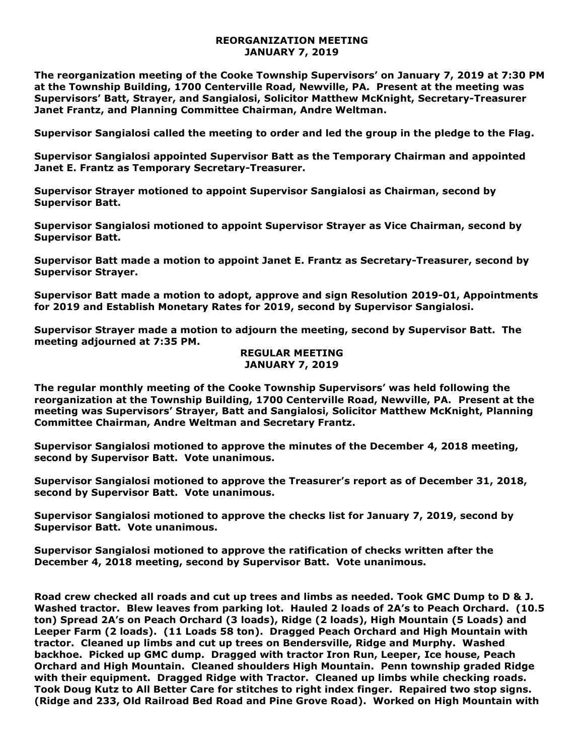## **REORGANIZATION MEETING JANUARY 7, 2019**

**The reorganization meeting of the Cooke Township Supervisors' on January 7, 2019 at 7:30 PM at the Township Building, 1700 Centerville Road, Newville, PA. Present at the meeting was Supervisors' Batt, Strayer, and Sangialosi, Solicitor Matthew McKnight, Secretary-Treasurer Janet Frantz, and Planning Committee Chairman, Andre Weltman.** 

**Supervisor Sangialosi called the meeting to order and led the group in the pledge to the Flag.** 

**Supervisor Sangialosi appointed Supervisor Batt as the Temporary Chairman and appointed Janet E. Frantz as Temporary Secretary-Treasurer.** 

**Supervisor Strayer motioned to appoint Supervisor Sangialosi as Chairman, second by Supervisor Batt.** 

**Supervisor Sangialosi motioned to appoint Supervisor Strayer as Vice Chairman, second by Supervisor Batt.** 

**Supervisor Batt made a motion to appoint Janet E. Frantz as Secretary-Treasurer, second by Supervisor Strayer.**

**Supervisor Batt made a motion to adopt, approve and sign Resolution 2019-01, Appointments for 2019 and Establish Monetary Rates for 2019, second by Supervisor Sangialosi.** 

**Supervisor Strayer made a motion to adjourn the meeting, second by Supervisor Batt. The meeting adjourned at 7:35 PM.** 

## **REGULAR MEETING JANUARY 7, 2019**

**The regular monthly meeting of the Cooke Township Supervisors' was held following the reorganization at the Township Building, 1700 Centerville Road, Newville, PA. Present at the meeting was Supervisors' Strayer, Batt and Sangialosi, Solicitor Matthew McKnight, Planning Committee Chairman, Andre Weltman and Secretary Frantz.**

**Supervisor Sangialosi motioned to approve the minutes of the December 4, 2018 meeting, second by Supervisor Batt. Vote unanimous.** 

**Supervisor Sangialosi motioned to approve the Treasurer's report as of December 31, 2018, second by Supervisor Batt. Vote unanimous.**

**Supervisor Sangialosi motioned to approve the checks list for January 7, 2019, second by Supervisor Batt. Vote unanimous.**

**Supervisor Sangialosi motioned to approve the ratification of checks written after the December 4, 2018 meeting, second by Supervisor Batt. Vote unanimous.**

**Road crew checked all roads and cut up trees and limbs as needed. Took GMC Dump to D & J. Washed tractor. Blew leaves from parking lot. Hauled 2 loads of 2A's to Peach Orchard. (10.5 ton) Spread 2A's on Peach Orchard (3 loads), Ridge (2 loads), High Mountain (5 Loads) and Leeper Farm (2 loads). (11 Loads 58 ton). Dragged Peach Orchard and High Mountain with tractor. Cleaned up limbs and cut up trees on Bendersville, Ridge and Murphy. Washed backhoe. Picked up GMC dump. Dragged with tractor Iron Run, Leeper, Ice house, Peach Orchard and High Mountain. Cleaned shoulders High Mountain. Penn township graded Ridge with their equipment. Dragged Ridge with Tractor. Cleaned up limbs while checking roads. Took Doug Kutz to All Better Care for stitches to right index finger. Repaired two stop signs. (Ridge and 233, Old Railroad Bed Road and Pine Grove Road). Worked on High Mountain with**